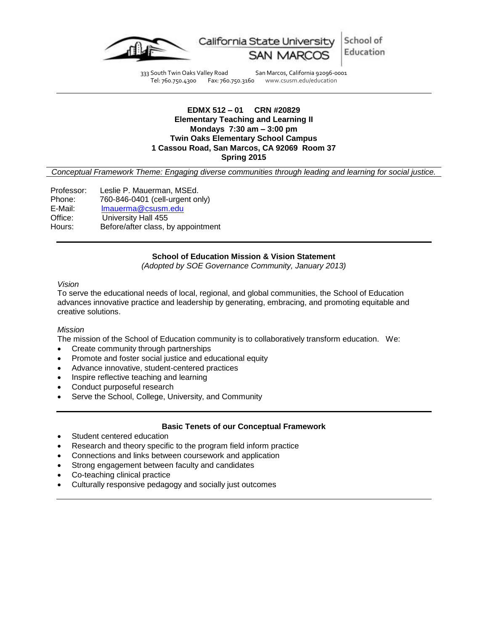

333 South Twin Oaks Valley Road San Marcos, California 92096-0001<br>Tel: 760.750.4300 Fax: 760.750.3160 www.csusm.edu/education Tel: 760.750.4300 Fax: 760.750.3160 www.csusm.edu/education

> **EDMX 512 – 01 CRN #20829 Elementary Teaching and Learning II Mondays 7:30 am – 3:00 pm**

#### **Twin Oaks Elementary School Campus 1 Cassou Road, San Marcos, CA 92069 Room 37**

**Spring 2015**

*Conceptual Framework Theme: Engaging diverse communities through leading and learning for social justice.*

Professor: Leslie P. Mauerman, MSEd. Phone: 760-846-0401 (cell-urgent only) E-Mail: <u>Imauerma@csusm.edu</u><br>Office: University Hall 455 University Hall 455 Hours: Before/after class, by appointment

#### **School of Education Mission & Vision Statement**

*(Adopted by SOE Governance Community, January 2013)*

#### *Vision*

To serve the educational needs of local, regional, and global communities, the School of Education advances innovative practice and leadership by generating, embracing, and promoting equitable and creative solutions.

#### *Mission*

The mission of the School of Education community is to collaboratively transform education. We:

- Create community through partnerships
- Promote and foster social justice and educational equity
- Advance innovative, student-centered practices
- Inspire reflective teaching and learning
- Conduct purposeful research
- Serve the School, College, University, and Community

#### **Basic Tenets of our Conceptual Framework**

- Student centered education
- Research and theory specific to the program field inform practice
- Connections and links between coursework and application
- Strong engagement between faculty and candidates
- Co-teaching clinical practice
- Culturally responsive pedagogy and socially just outcomes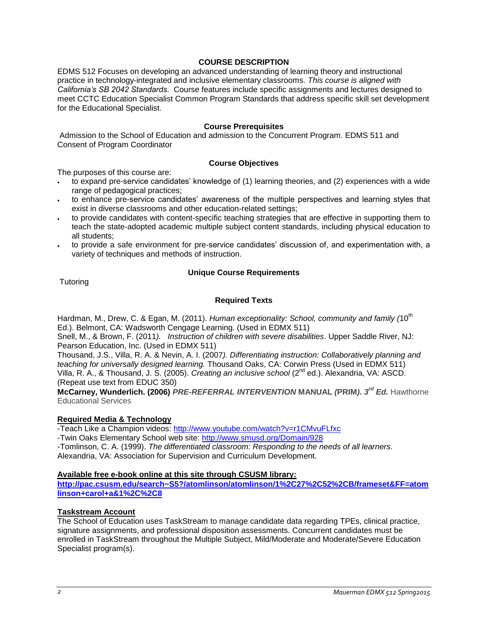# **COURSE DESCRIPTION**

EDMS 512 Focuses on developing an advanced understanding of learning theory and instructional practice in technology-integrated and inclusive elementary classrooms. *This course is aligned with California's SB 2042 Standards.* Course features include specific assignments and lectures designed to meet CCTC Education Specialist Common Program Standards that address specific skill set development for the Educational Specialist.

### **Course Prerequisites**

Admission to the School of Education and admission to the Concurrent Program. EDMS 511 and Consent of Program Coordinator

# **Course Objectives**

The purposes of this course are:

- to expand pre-service candidates' knowledge of (1) learning theories, and (2) experiences with a wide range of pedagogical practices;
- to enhance pre-service candidates' awareness of the multiple perspectives and learning styles that exist in diverse classrooms and other education-related settings;
- to provide candidates with content-specific teaching strategies that are effective in supporting them to teach the state-adopted academic multiple subject content standards, including physical education to all students;
- to provide a safe environment for pre-service candidates' discussion of, and experimentation with, a variety of techniques and methods of instruction.

# **Unique Course Requirements**

**Tutoring** 

# **Required Texts**

Hardman, M., Drew, C. & Egan, M. (2011). *Human exceptionality: School, community and family (*10<sup>th</sup> Ed.). Belmont, CA: Wadsworth Cengage Learning. (Used in EDMX 511)

Snell, M., & Brown, F. (2011*). Instruction of children with severe disabilities*. Upper Saddle River, NJ: Pearson Education, Inc. (Used in EDMX 511)

Thousand, J.S., Villa, R. A. & Nevin, A. I. (2007*). Differentiating instruction: Collaboratively planning and teaching for universally designed learning.* Thousand Oaks, CA: Corwin Press (Used in EDMX 511) Villa, R. A., & Thousand, J. S. (2005). *Creating an inclusive school* (2<sup>nd</sup> ed.). Alexandria, VA: ASCD. (Repeat use text from EDUC 350)

**McCarney, Wunderlich. (2006)** *PRE-REFERRAL INTERVENTION* **MANUAL** *(***PRIM***)***.** *3 rd Ed.* Hawthorne Educational Services

#### **Required Media & Technology**

-Teach Like a Champion videos:<http://www.youtube.com/watch?v=r1CMvuFLfxc>

-Twin Oaks Elementary School web site:<http://www.smusd.org/Domain/928>

-Tomlinson, C. A. (1999). *The differentiated classroom: Responding to the needs of all learners.*  Alexandria, VA: Association for Supervision and Curriculum Development.

#### **Available free e-book online at this site through CSUSM library:**

**[http://pac.csusm.edu/search~S5?/atomlinson/atomlinson/1%2C27%2C52%2CB/frameset&FF=atom](http://pac.csusm.edu/search~S5?/atomlinson/atomlinson/1%2C27%2C52%2CB/frameset&FF=atomlinson+carol+a&1%2C%2C8) [linson+carol+a&1%2C%2C8](http://pac.csusm.edu/search~S5?/atomlinson/atomlinson/1%2C27%2C52%2CB/frameset&FF=atomlinson+carol+a&1%2C%2C8)** 

# **Taskstream Account**

The School of Education uses TaskStream to manage candidate data regarding TPEs, clinical practice, signature assignments, and professional disposition assessments. Concurrent candidates must be enrolled in TaskStream throughout the Multiple Subject, Mild/Moderate and Moderate/Severe Education Specialist program(s).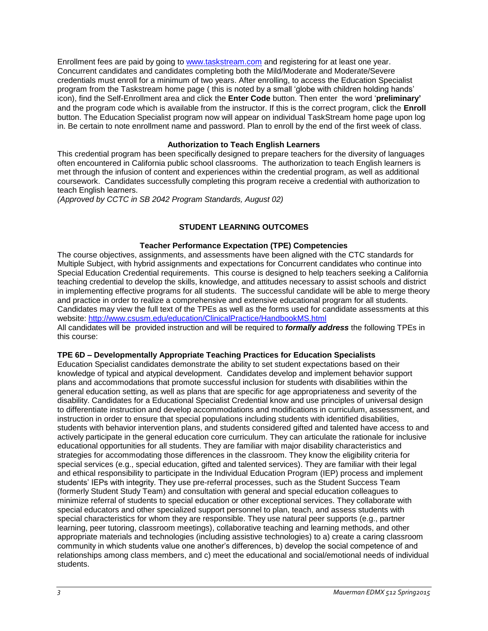Enrollment fees are paid by going t[o www.taskstream.com](https://copilot.csusm.edu/owa/redir.aspx?C=JQGRF98_YUaQtaUmRLCQfVWnwmJwxs9IDInTVMhk81xWIUA7hRT2uY6jlnFWAAXDSUJtKsld_Qs.&URL=http%3a%2f%2fwww.taskstrem.com) and registering for at least one year. Concurrent candidates and candidates completing both the Mild/Moderate and Moderate/Severe credentials must enroll for a minimum of two years. After enrolling, to access the Education Specialist program from the Taskstream home page ( this is noted by a small 'globe with children holding hands' icon), find the Self-Enrollment area and click the **Enter Code** button. Then enter the word '**preliminary'** and the program code which is available from the instructor. If this is the correct program, click the **Enroll**  button. The Education Specialist program now will appear on individual TaskStream home page upon log in. Be certain to note enrollment name and password. Plan to enroll by the end of the first week of class.

# **Authorization to Teach English Learners**

This credential program has been specifically designed to prepare teachers for the diversity of languages often encountered in California public school classrooms. The authorization to teach English learners is met through the infusion of content and experiences within the credential program, as well as additional coursework. Candidates successfully completing this program receive a credential with authorization to teach English learners.

*(Approved by CCTC in SB 2042 Program Standards, August 02)*

# **STUDENT LEARNING OUTCOMES**

# **Teacher Performance Expectation (TPE) Competencies**

The course objectives, assignments, and assessments have been aligned with the CTC standards for Multiple Subject, with hybrid assignments and expectations for Concurrent candidates who continue into Special Education Credential requirements. This course is designed to help teachers seeking a California teaching credential to develop the skills, knowledge, and attitudes necessary to assist schools and district in implementing effective programs for all students. The successful candidate will be able to merge theory and practice in order to realize a comprehensive and extensive educational program for all students. Candidates may view the full text of the TPEs as well as the forms used for candidate assessments at this website:<http://www.csusm.edu/education/ClinicalPractice/HandbookMS.html>

All candidates will be provided instruction and will be required to *formally address* the following TPEs in this course:

#### **TPE 6D – Developmentally Appropriate Teaching Practices for Education Specialists**

Education Specialist candidates demonstrate the ability to set student expectations based on their knowledge of typical and atypical development. Candidates develop and implement behavior support plans and accommodations that promote successful inclusion for students with disabilities within the general education setting, as well as plans that are specific for age appropriateness and severity of the disability. Candidates for a Educational Specialist Credential know and use principles of universal design to differentiate instruction and develop accommodations and modifications in curriculum, assessment, and instruction in order to ensure that special populations including students with identified disabilities, students with behavior intervention plans, and students considered gifted and talented have access to and actively participate in the general education core curriculum. They can articulate the rationale for inclusive educational opportunities for all students. They are familiar with major disability characteristics and strategies for accommodating those differences in the classroom. They know the eligibility criteria for special services (e.g., special education, gifted and talented services). They are familiar with their legal and ethical responsibility to participate in the Individual Education Program (IEP) process and implement students' IEPs with integrity. They use pre-referral processes, such as the Student Success Team (formerly Student Study Team) and consultation with general and special education colleagues to minimize referral of students to special education or other exceptional services. They collaborate with special educators and other specialized support personnel to plan, teach, and assess students with special characteristics for whom they are responsible. They use natural peer supports (e.g., partner learning, peer tutoring, classroom meetings), collaborative teaching and learning methods, and other appropriate materials and technologies (including assistive technologies) to a) create a caring classroom community in which students value one another's differences, b) develop the social competence of and relationships among class members, and c) meet the educational and social/emotional needs of individual students.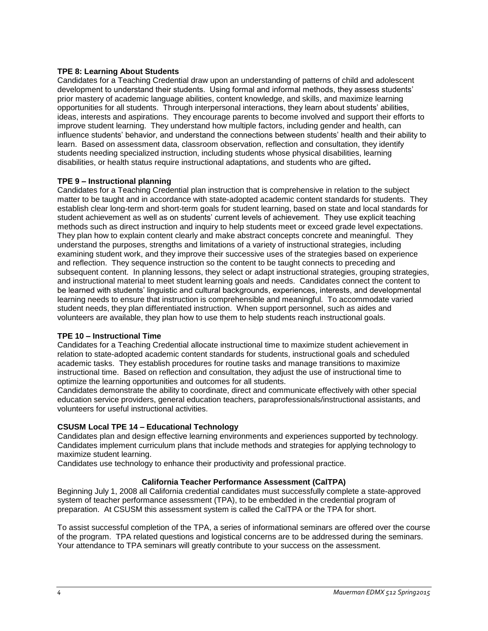# **TPE 8: Learning About Students**

Candidates for a Teaching Credential draw upon an understanding of patterns of child and adolescent development to understand their students. Using formal and informal methods, they assess students' prior mastery of academic language abilities, content knowledge, and skills, and maximize learning opportunities for all students. Through interpersonal interactions, they learn about students' abilities, ideas, interests and aspirations. They encourage parents to become involved and support their efforts to improve student learning. They understand how multiple factors, including gender and health, can influence students' behavior, and understand the connections between students' health and their ability to learn. Based on assessment data, classroom observation, reflection and consultation, they identify students needing specialized instruction, including students whose physical disabilities, learning disabilities, or health status require instructional adaptations, and students who are gifted**.** 

# **TPE 9 – Instructional planning**

Candidates for a Teaching Credential plan instruction that is comprehensive in relation to the subject matter to be taught and in accordance with state-adopted academic content standards for students. They establish clear long-term and short-term goals for student learning, based on state and local standards for student achievement as well as on students' current levels of achievement. They use explicit teaching methods such as direct instruction and inquiry to help students meet or exceed grade level expectations. They plan how to explain content clearly and make abstract concepts concrete and meaningful. They understand the purposes, strengths and limitations of a variety of instructional strategies, including examining student work, and they improve their successive uses of the strategies based on experience and reflection. They sequence instruction so the content to be taught connects to preceding and subsequent content. In planning lessons, they select or adapt instructional strategies, grouping strategies, and instructional material to meet student learning goals and needs. Candidates connect the content to be learned with students' linguistic and cultural backgrounds, experiences, interests, and developmental learning needs to ensure that instruction is comprehensible and meaningful. To accommodate varied student needs, they plan differentiated instruction. When support personnel, such as aides and volunteers are available, they plan how to use them to help students reach instructional goals.

#### **TPE 10 – Instructional Time**

Candidates for a Teaching Credential allocate instructional time to maximize student achievement in relation to state-adopted academic content standards for students, instructional goals and scheduled academic tasks. They establish procedures for routine tasks and manage transitions to maximize instructional time. Based on reflection and consultation, they adjust the use of instructional time to optimize the learning opportunities and outcomes for all students.

Candidates demonstrate the ability to coordinate, direct and communicate effectively with other special education service providers, general education teachers, paraprofessionals/instructional assistants, and volunteers for useful instructional activities.

# **CSUSM Local TPE 14 – Educational Technology**

Candidates plan and design effective learning environments and experiences supported by technology. Candidates implement curriculum plans that include methods and strategies for applying technology to maximize student learning.

Candidates use technology to enhance their productivity and professional practice.

# **California Teacher Performance Assessment (CalTPA)**

Beginning July 1, 2008 all California credential candidates must successfully complete a state-approved system of teacher performance assessment (TPA), to be embedded in the credential program of preparation. At CSUSM this assessment system is called the CalTPA or the TPA for short.

To assist successful completion of the TPA, a series of informational seminars are offered over the course of the program. TPA related questions and logistical concerns are to be addressed during the seminars. Your attendance to TPA seminars will greatly contribute to your success on the assessment.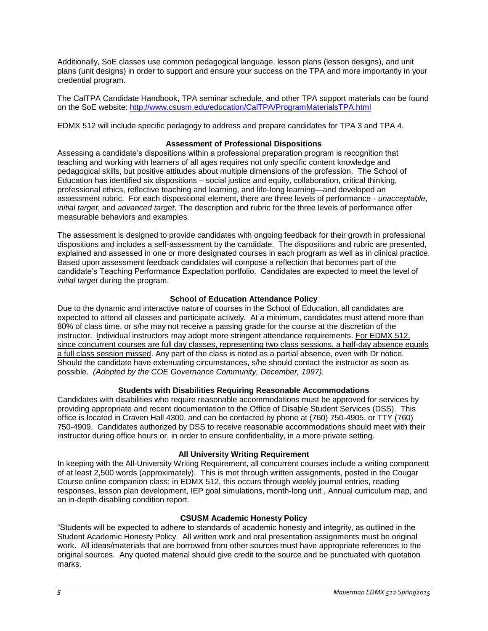Additionally, SoE classes use common pedagogical language, lesson plans (lesson designs), and unit plans (unit designs) in order to support and ensure your success on the TPA and more importantly in your credential program.

The CalTPA Candidate Handbook, TPA seminar schedule, and other TPA support materials can be found on the SoE website: <http://www.csusm.edu/education/CalTPA/ProgramMaterialsTPA.html>

EDMX 512 will include specific pedagogy to address and prepare candidates for TPA 3 and TPA 4.

# **Assessment of Professional Dispositions**

Assessing a candidate's dispositions within a professional preparation program is recognition that teaching and working with learners of all ages requires not only specific content knowledge and pedagogical skills, but positive attitudes about multiple dimensions of the profession. The School of Education has identified six dispositions – social justice and equity, collaboration, critical thinking, professional ethics, reflective teaching and learning, and life-long learning—and developed an assessment rubric. For each dispositional element, there are three levels of performance - *unacceptable*, *initial target*, and *advanced target*. The description and rubric for the three levels of performance offer measurable behaviors and examples.

The assessment is designed to provide candidates with ongoing feedback for their growth in professional dispositions and includes a self-assessment by the candidate. The dispositions and rubric are presented, explained and assessed in one or more designated courses in each program as well as in clinical practice. Based upon assessment feedback candidates will compose a reflection that becomes part of the candidate's Teaching Performance Expectation portfolio. Candidates are expected to meet the level of *initial target* during the program.

# **School of Education Attendance Policy**

Due to the dynamic and interactive nature of courses in the School of Education, all candidates are expected to attend all classes and participate actively. At a minimum, candidates must attend more than 80% of class time, or s/he may not receive a passing grade for the course at the discretion of the instructor. Individual instructors may adopt more stringent attendance requirements. For EDMX 512, since concurrent courses are full day classes, representing two class sessions, a half-day absence equals a full class session missed. Any part of the class is noted as a partial absence, even with Dr notice. Should the candidate have extenuating circumstances, s/he should contact the instructor as soon as possible. *(Adopted by the COE Governance Community, December, 1997).*

# **Students with Disabilities Requiring Reasonable Accommodations**

Candidates with disabilities who require reasonable accommodations must be approved for services by providing appropriate and recent documentation to the Office of Disable Student Services (DSS). This office is located in Craven Hall 4300, and can be contacted by phone at (760) 750-4905, or TTY (760) 750-4909. Candidates authorized by DSS to receive reasonable accommodations should meet with their instructor during office hours or, in order to ensure confidentiality, in a more private setting.

#### **All University Writing Requirement**

In keeping with the All-University Writing Requirement, all concurrent courses include a writing component of at least 2,500 words (approximately). This is met through written assignments, posted in the Cougar Course online companion class; in EDMX 512, this occurs through weekly journal entries, reading responses, lesson plan development, IEP goal simulations, month-long unit , Annual curriculum map, and an in-depth disabling condition report.

#### **CSUSM Academic Honesty Policy**

"Students will be expected to adhere to standards of academic honesty and integrity, as outlined in the Student Academic Honesty Policy. All written work and oral presentation assignments must be original work. All ideas/materials that are borrowed from other sources must have appropriate references to the original sources. Any quoted material should give credit to the source and be punctuated with quotation marks.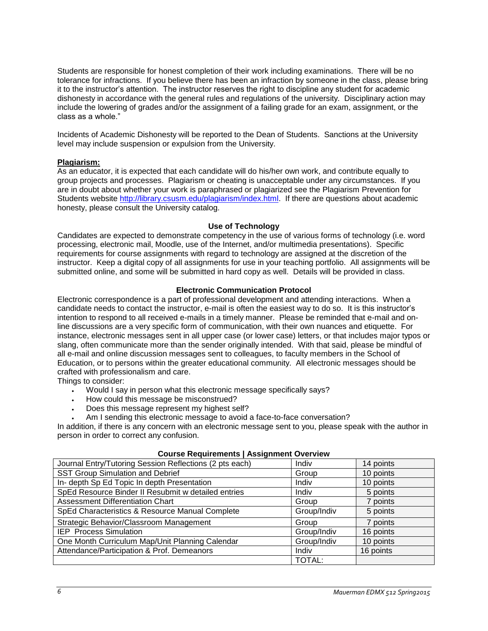Students are responsible for honest completion of their work including examinations. There will be no tolerance for infractions. If you believe there has been an infraction by someone in the class, please bring it to the instructor's attention. The instructor reserves the right to discipline any student for academic dishonesty in accordance with the general rules and regulations of the university. Disciplinary action may include the lowering of grades and/or the assignment of a failing grade for an exam, assignment, or the class as a whole."

Incidents of Academic Dishonesty will be reported to the Dean of Students. Sanctions at the University level may include suspension or expulsion from the University.

# **Plagiarism:**

As an educator, it is expected that each candidate will do his/her own work, and contribute equally to group projects and processes. Plagiarism or cheating is unacceptable under any circumstances. If you are in doubt about whether your work is paraphrased or plagiarized see the Plagiarism Prevention for Students website [http://library.csusm.edu/plagiarism/index.html.](http://library.csusm.edu/plagiarism/index.html) If there are questions about academic honesty, please consult the University catalog.

#### **Use of Technology**

Candidates are expected to demonstrate competency in the use of various forms of technology (i.e. word processing, electronic mail, Moodle, use of the Internet, and/or multimedia presentations). Specific requirements for course assignments with regard to technology are assigned at the discretion of the instructor. Keep a digital copy of all assignments for use in your teaching portfolio. All assignments will be submitted online, and some will be submitted in hard copy as well. Details will be provided in class.

# **Electronic Communication Protocol**

Electronic correspondence is a part of professional development and attending interactions. When a candidate needs to contact the instructor, e-mail is often the easiest way to do so. It is this instructor's intention to respond to all received e-mails in a timely manner. Please be reminded that e-mail and online discussions are a very specific form of communication, with their own nuances and etiquette. For instance, electronic messages sent in all upper case (or lower case) letters, or that includes major typos or slang, often communicate more than the sender originally intended. With that said, please be mindful of all e-mail and online discussion messages sent to colleagues, to faculty members in the School of Education, or to persons within the greater educational community. All electronic messages should be crafted with professionalism and care.

Things to consider:

- Would I say in person what this electronic message specifically says?
- How could this message be misconstrued?
- Does this message represent my highest self?
- Am I sending this electronic message to avoid a face-to-face conversation?

In addition, if there is any concern with an electronic message sent to you, please speak with the author in person in order to correct any confusion.

| oodi se negunements j Assignment Overview               |               |           |  |  |  |  |  |  |
|---------------------------------------------------------|---------------|-----------|--|--|--|--|--|--|
| Journal Entry/Tutoring Session Reflections (2 pts each) | Indiv         | 14 points |  |  |  |  |  |  |
| <b>SST Group Simulation and Debrief</b>                 | Group         | 10 points |  |  |  |  |  |  |
| In- depth Sp Ed Topic In depth Presentation             | Indiv         | 10 points |  |  |  |  |  |  |
| SpEd Resource Binder II Resubmit w detailed entries     | Indiv         | 5 points  |  |  |  |  |  |  |
| Assessment Differentiation Chart                        | Group         | 7 points  |  |  |  |  |  |  |
| SpEd Characteristics & Resource Manual Complete         | Group/Indiv   | 5 points  |  |  |  |  |  |  |
| Strategic Behavior/Classroom Management                 | Group         | 7 points  |  |  |  |  |  |  |
| <b>IEP</b> Process Simulation                           | Group/Indiv   | 16 points |  |  |  |  |  |  |
| One Month Curriculum Map/Unit Planning Calendar         | Group/Indiv   | 10 points |  |  |  |  |  |  |
| Attendance/Participation & Prof. Demeanors              | Indiv         | 16 points |  |  |  |  |  |  |
|                                                         | <b>TOTAL:</b> |           |  |  |  |  |  |  |

#### **Course Requirements | Assignment Overview**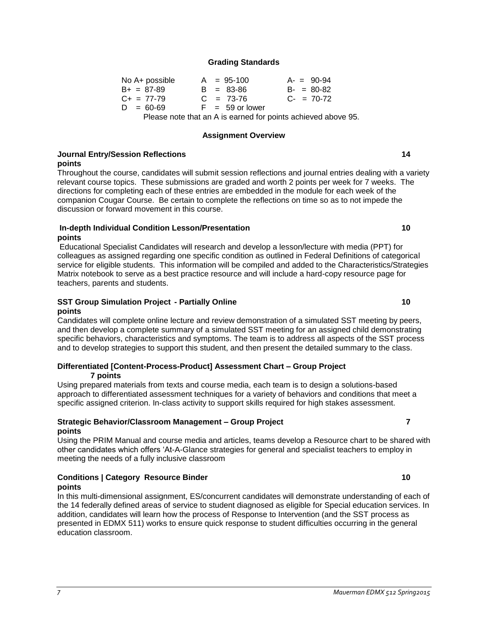**Conditions | Category Resource Binder 10** 

#### **Grading Standards**

| No A+ possible    |  | $A = 95-100$                                                      | $A - 90-94$     |
|-------------------|--|-------------------------------------------------------------------|-----------------|
| $B_{+} = 87 - 89$ |  | $B = 83 - 86$                                                     | $B - = 80 - 82$ |
| $C_{+}$ = 77-79   |  | $C = 73-76$                                                       | $C_{2} = 70-72$ |
| $D = 60 - 69$     |  | $F = 59$ or lower                                                 |                 |
|                   |  | Please note that an $\Lambda$ is earned for points achieved above |                 |

Please note that an A is earned for points achieved above 95.

#### **Assignment Overview**

### **Journal Entry/Session Reflections 14 points**

Throughout the course, candidates will submit session reflections and journal entries dealing with a variety relevant course topics. These submissions are graded and worth 2 points per week for 7 weeks. The directions for completing each of these entries are embedded in the module for each week of the companion Cougar Course. Be certain to complete the reflections on time so as to not impede the discussion or forward movement in this course.

# **In-depth Individual Condition Lesson/Presentation 10 points**

Educational Specialist Candidates will research and develop a lesson/lecture with media (PPT) for colleagues as assigned regarding one specific condition as outlined in Federal Definitions of categorical service for eligible students. This information will be compiled and added to the Characteristics/Strategies Matrix notebook to serve as a best practice resource and will include a hard-copy resource page for teachers, parents and students.

# **SST Group Simulation Project - Partially Online 10**

#### **points**

Candidates will complete online lecture and review demonstration of a simulated SST meeting by peers, and then develop a complete summary of a simulated SST meeting for an assigned child demonstrating specific behaviors, characteristics and symptoms. The team is to address all aspects of the SST process and to develop strategies to support this student, and then present the detailed summary to the class.

#### **Differentiated [Content-Process-Product] Assessment Chart – Group Project 7 points**

Using prepared materials from texts and course media, each team is to design a solutions-based approach to differentiated assessment techniques for a variety of behaviors and conditions that meet a specific assigned criterion. In-class activity to support skills required for high stakes assessment.

# **Strategic Behavior/Classroom Management – Group Project 7 points**

Using the PRIM Manual and course media and articles, teams develop a Resource chart to be shared with other candidates which offers 'At-A-Glance strategies for general and specialist teachers to employ in meeting the needs of a fully inclusive classroom

#### **points**

In this multi-dimensional assignment, ES/concurrent candidates will demonstrate understanding of each of the 14 federally defined areas of service to student diagnosed as eligible for Special education services. In addition, candidates will learn how the process of Response to Intervention (and the SST process as presented in EDMX 511) works to ensure quick response to student difficulties occurring in the general education classroom.